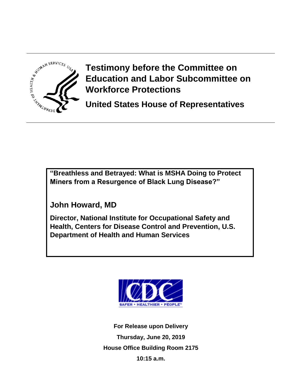

**Testimony before the Committee on Education and Labor Subcommittee on Workforce Protections**

**United States House of Representatives** 

**"Breathless and Betrayed: What is MSHA Doing to Protect Miners from a Resurgence of Black Lung Disease?"**

**John Howard, MD** 

**Director, National Institute for Occupational Safety and Health, Centers for Disease Control and Prevention, U.S. Department of Health and Human Services**



**For Release upon Delivery Thursday, June 20, 2019 House Office Building Room 2175 10:15 a.m.**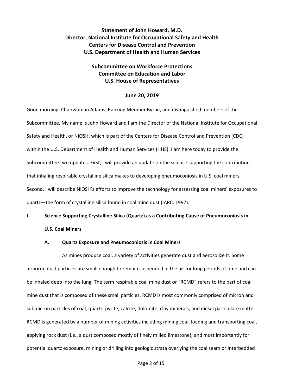# **Statement of John Howard, M.D. Director, National Institute for Occupational Safety and Health Centers for Disease Control and Prevention U.S. Department of Health and Human Services**

# **Subcommittee on Workforce Protections Committee on Education and Labor U.S. House of Representatives**

### **June 20, 2019**

Good morning, Chairwoman Adams, Ranking Member Byrne, and distinguished members of the Subcommittee. My name is John Howard and I am the Director of the National Institute for Occupational Safety and Health, or NIOSH, which is part of the Centers for Disease Control and Prevention (CDC) within the U.S. Department of Health and Human Services (HHS). I am here today to provide the Subcommittee two updates. First, I will provide an update on the science supporting the contribution that inhaling respirable crystalline silica makes to developing pneumoconiosis in U.S. coal miners. Second, I will describe NIOSH's efforts to improve the technology for assessing coal miners' exposures to quartz—the form of crystalline silica found in coal mine dust (IARC, 1997).

## **I. Science Supporting Crystalline Silica (Quartz) as a Contributing Cause of Pneumoconiosis in**

## **U.S. Coal Miners**

#### **A. Quartz Exposure and Pneumoconiosis in Coal Miners**

As mines produce coal, a variety of activities generate dust and aerosolize it. Some airborne dust particles are small enough to remain suspended in the air for long periods of time and can be inhaled deep into the lung. The term respirable coal mine dust or "RCMD" refers to the part of coal mine dust that is composed of these small particles. RCMD is most commonly comprised of micron and submicron particles of coal, quartz, pyrite, calcite, dolomite, clay minerals, and diesel particulate matter. RCMD is generated by a number of mining activities including mining coal, loading and transporting coal, applying rock dust (i.e., a dust composed mostly of finely milled limestone), and most importantly for potential quartz exposure, mining or drilling into geologic strata overlying the coal seam or interbedded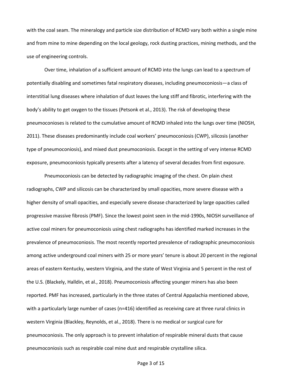with the coal seam. The mineralogy and particle size distribution of RCMD vary both within a single mine and from mine to mine depending on the local geology, rock dusting practices, mining methods, and the use of engineering controls.

Over time, inhalation of a sufficient amount of RCMD into the lungs can lead to a spectrum of potentially disabling and sometimes fatal respiratory diseases, including pneumoconiosis—a class of interstitial lung diseases where inhalation of dust leaves the lung stiff and fibrotic, interfering with the body's ability to get oxygen to the tissues (Petsonk et al., 2013). The risk of developing these pneumoconioses is related to the cumulative amount of RCMD inhaled into the lungs over time (NIOSH, 2011). These diseases predominantly include coal workers' pneumoconiosis (CWP), silicosis (another type of pneumoconiosis), and mixed dust pneumoconiosis. Except in the setting of very intense RCMD exposure, pneumoconiosis typically presents after a latency of several decades from first exposure.

Pneumoconiosis can be detected by radiographic imaging of the chest. On plain chest radiographs, CWP and silicosis can be characterized by small opacities, more severe disease with a higher density of small opacities, and especially severe disease characterized by large opacities called progressive massive fibrosis (PMF). Since the lowest point seen in the mid-1990s, NIOSH surveillance of active coal miners for pneumoconiosis using chest radiographs has identified marked increases in the prevalence of pneumoconiosis. The most recently reported prevalence of radiographic pneumoconiosis among active underground coal miners with 25 or more years' tenure is about 20 percent in the regional areas of eastern Kentucky, western Virginia, and the state of West Virginia and 5 percent in the rest of the U.S. (Blackely, Halldin, et al., 2018). Pneumoconiosis affecting younger miners has also been reported. PMF has increased, particularly in the three states of Central Appalachia mentioned above, with a particularly large number of cases (n=416) identified as receiving care at three rural clinics in western Virginia (Blackley, Reynolds, et al., 2018). There is no medical or surgical cure for pneumoconiosis. The only approach is to prevent inhalation of respirable mineral dusts that cause pneumoconiosis such as respirable coal mine dust and respirable crystalline silica.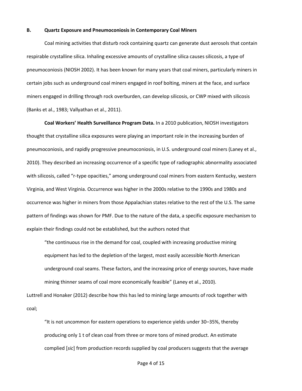#### **B. Quartz Exposure and Pneumoconiosis in Contemporary Coal Miners**

Coal mining activities that disturb rock containing quartz can generate dust aerosols that contain respirable crystalline silica. Inhaling excessive amounts of crystalline silica causes silicosis, a type of pneumoconiosis (NIOSH 2002). It has been known for many years that coal miners, particularly miners in certain jobs such as underground coal miners engaged in roof bolting, miners at the face, and surface miners engaged in drilling through rock overburden, can develop silicosis, or CWP mixed with silicosis (Banks et al., 1983; Vallyathan et al., 2011).

**Coal Workers' Health Surveillance Program Data.** In a 2010 publication, NIOSH investigators thought that crystalline silica exposures were playing an important role in the increasing burden of pneumoconiosis, and rapidly progressive pneumoconiosis, in U.S. underground coal miners (Laney et al., 2010). They described an increasing occurrence of a specific type of radiographic abnormality associated with silicosis, called "r-type opacities," among underground coal miners from eastern Kentucky, western Virginia, and West Virginia. Occurrence was higher in the 2000s relative to the 1990s and 1980s and occurrence was higher in miners from those Appalachian states relative to the rest of the U.S. The same pattern of findings was shown for PMF. Due to the nature of the data, a specific exposure mechanism to explain their findings could not be established, but the authors noted that

"the continuous rise in the demand for coal, coupled with increasing productive mining equipment has led to the depletion of the largest, most easily accessible North American underground coal seams. These factors, and the increasing price of energy sources, have made mining thinner seams of coal more economically feasible" (Laney et al., 2010).

Luttrell and Honaker (2012) describe how this has led to mining large amounts of rock together with coal;

"It is not uncommon for eastern operations to experience yields under 30–35%, thereby producing only 1 t of clean coal from three or more tons of mined product. An estimate complied [*sic*] from production records supplied by coal producers suggests that the average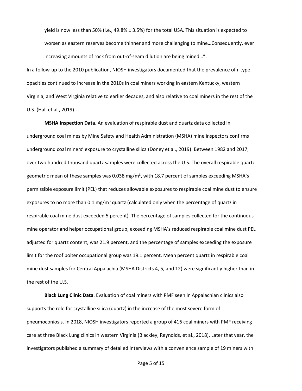yield is now less than 50% (i.e., 49.8% ± 3.5%) for the total USA. This situation is expected to worsen as eastern reserves become thinner and more challenging to mine…Consequently, ever increasing amounts of rock from out-of-seam dilution are being mined…".

In a follow-up to the 2010 publication, NIOSH investigators documented that the prevalence of r-type opacities continued to increase in the 2010s in coal miners working in eastern Kentucky, western Virginia, and West Virginia relative to earlier decades, and also relative to coal miners in the rest of the U.S. (Hall et al., 2019).

**MSHA Inspection Data**. An evaluation of respirable dust and quartz data collected in underground coal mines by Mine Safety and Health Administration (MSHA) mine inspectors confirms underground coal miners' exposure to crystalline silica (Doney et al., 2019). Between 1982 and 2017, over two hundred thousand quartz samples were collected across the U.S. The overall respirable quartz geometric mean of these samples was 0.038 mg/m<sup>3</sup>, with 18.7 percent of samples exceeding MSHA's permissible exposure limit (PEL) that reduces allowable exposures to respirable coal mine dust to ensure exposures to no more than 0.1 mg/m<sup>3</sup> quartz (calculated only when the percentage of quartz in respirable coal mine dust exceeded 5 percent). The percentage of samples collected for the continuous mine operator and helper occupational group, exceeding MSHA's reduced respirable coal mine dust PEL adjusted for quartz content, was 21.9 percent, and the percentage of samples exceeding the exposure limit for the roof bolter occupational group was 19.1 percent. Mean percent quartz in respirable coal mine dust samples for Central Appalachia (MSHA Districts 4, 5, and 12) were significantly higher than in the rest of the U.S.

**Black Lung Clinic Data**. Evaluation of coal miners with PMF seen in Appalachian clinics also supports the role for crystalline silica (quartz) in the increase of the most severe form of pneumoconiosis. In 2018, NIOSH investigators reported a group of 416 coal miners with PMF receiving care at three Black Lung clinics in western Virginia (Blackley, Reynolds, et al., 2018). Later that year, the investigators published a summary of detailed interviews with a convenience sample of 19 miners with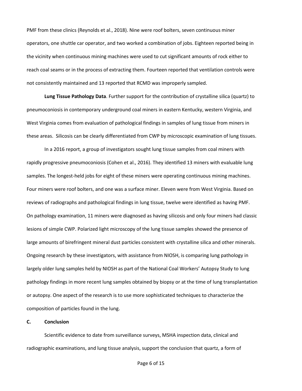PMF from these clinics (Reynolds et al., 2018). Nine were roof bolters, seven continuous miner operators, one shuttle car operator, and two worked a combination of jobs. Eighteen reported being in the vicinity when continuous mining machines were used to cut significant amounts of rock either to reach coal seams or in the process of extracting them. Fourteen reported that ventilation controls were not consistently maintained and 13 reported that RCMD was improperly sampled.

**Lung Tissue Pathology Data**. Further support for the contribution of crystalline silica (quartz) to pneumoconiosis in contemporary underground coal miners in eastern Kentucky, western Virginia, and West Virginia comes from evaluation of pathological findings in samples of lung tissue from miners in these areas. Silicosis can be clearly differentiated from CWP by microscopic examination of lung tissues.

In a 2016 report, a group of investigators sought lung tissue samples from coal miners with rapidly progressive pneumoconiosis (Cohen et al., 2016). They identified 13 miners with evaluable lung samples. The longest-held jobs for eight of these miners were operating continuous mining machines. Four miners were roof bolters, and one was a surface miner. Eleven were from West Virginia. Based on reviews of radiographs and pathological findings in lung tissue, twelve were identified as having PMF. On pathology examination, 11 miners were diagnosed as having silicosis and only four miners had classic lesions of simple CWP. Polarized light microscopy of the lung tissue samples showed the presence of large amounts of birefringent mineral dust particles consistent with crystalline silica and other minerals. Ongoing research by these investigators, with assistance from NIOSH, is comparing lung pathology in largely older lung samples held by NIOSH as part of the National Coal Workers' Autopsy Study to lung pathology findings in more recent lung samples obtained by biopsy or at the time of lung transplantation or autopsy. One aspect of the research is to use more sophisticated techniques to characterize the composition of particles found in the lung.

### **C. Conclusion**

Scientific evidence to date from surveillance surveys, MSHA inspection data, clinical and radiographic examinations, and lung tissue analysis, support the conclusion that quartz, a form of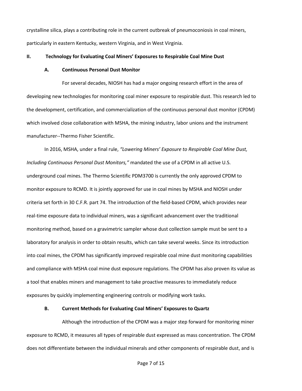crystalline silica, plays a contributing role in the current outbreak of pneumoconiosis in coal miners, particularly in eastern Kentucky, western Virginia, and in West Virginia.

### **II. Technology for Evaluating Coal Miners' Exposures to Respirable Coal Mine Dust**

#### **A. Continuous Personal Dust Monitor**

For several decades, NIOSH has had a major ongoing research effort in the area of developing new technologies for monitoring coal miner exposure to respirable dust. This research led to the development, certification, and commercialization of the continuous personal dust monitor (CPDM) which involved close collaboration with MSHA, the mining industry, labor unions and the instrument manufacturer--Thermo Fisher Scientific.

In 2016, MSHA, under a final rule, *"Lowering Miners' Exposure to Respirable Coal Mine Dust, Including Continuous Personal Dust Monitors,"* mandated the use of a CPDM in all active U.S. underground coal mines. The Thermo Scientific PDM3700 is currently the only approved CPDM to monitor exposure to RCMD. It is jointly approved for use in coal mines by MSHA and NIOSH under criteria set forth in 30 C.F.R. part 74. The introduction of the field-based CPDM, which provides near real-time exposure data to individual miners, was a significant advancement over the traditional monitoring method, based on a gravimetric sampler whose dust collection sample must be sent to a laboratory for analysis in order to obtain results, which can take several weeks. Since its introduction into coal mines, the CPDM has significantly improved respirable coal mine dust monitoring capabilities and compliance with MSHA coal mine dust exposure regulations. The CPDM has also proven its value as a tool that enables miners and management to take proactive measures to immediately reduce exposures by quickly implementing engineering controls or modifying work tasks.

### **B. Current Methods for Evaluating Coal Miners' Exposures to Quartz**

Although the introduction of the CPDM was a major step forward for monitoring miner exposure to RCMD, it measures all types of respirable dust expressed as mass concentration. The CPDM does not differentiate between the individual minerals and other components of respirable dust, and is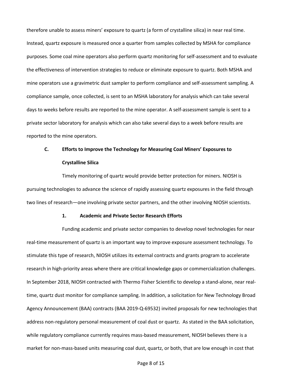therefore unable to assess miners' exposure to quartz (a form of crystalline silica) in near real time. Instead, quartz exposure is measured once a quarter from samples collected by MSHA for compliance purposes. Some coal mine operators also perform quartz monitoring for self-assessment and to evaluate the effectiveness of intervention strategies to reduce or eliminate exposure to quartz. Both MSHA and mine operators use a gravimetric dust sampler to perform compliance and self-assessment sampling. A compliance sample, once collected, is sent to an MSHA laboratory for analysis which can take several days to weeks before results are reported to the mine operator. A self-assessment sample is sent to a private sector laboratory for analysis which can also take several days to a week before results are reported to the mine operators.

# **C. Efforts to Improve the Technology for Measuring Coal Miners' Exposures to Crystalline Silica**

Timely monitoring of quartz would provide better protection for miners. NIOSH is pursuing technologies to advance the science of rapidly assessing quartz exposures in the field through two lines of research—one involving private sector partners, and the other involving NIOSH scientists.

### **1. Academic and Private Sector Research Efforts**

Funding academic and private sector companies to develop novel technologies for near real-time measurement of quartz is an important way to improve exposure assessment technology. To stimulate this type of research, NIOSH utilizes its external contracts and grants program to accelerate research in high-priority areas where there are critical knowledge gaps or commercialization challenges. In September 2018, NIOSH contracted with Thermo Fisher Scientific to develop a stand-alone, near realtime, quartz dust monitor for compliance sampling. In addition, a solicitation for New Technology Broad Agency Announcement (BAA) contracts (BAA 2019-Q-69532) invited proposals for new technologies that address non-regulatory personal measurement of coal dust or quartz. As stated in the BAA solicitation, while regulatory compliance currently requires mass-based measurement, NIOSH believes there is a market for non-mass-based units measuring coal dust, quartz, or both, that are low enough in cost that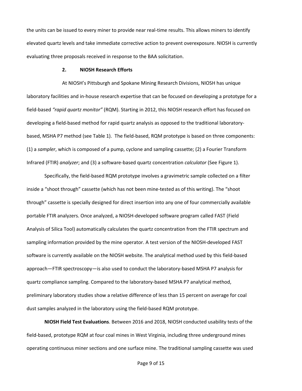the units can be issued to every miner to provide near real-time results. This allows miners to identify elevated quartz levels and take immediate corrective action to prevent overexposure. NIOSH is currently evaluating three proposals received in response to the BAA solicitation.

### **2. NIOSH Research Efforts**

At NIOSH's Pittsburgh and Spokane Mining Research Divisions, NIOSH has unique laboratory facilities and in-house research expertise that can be focused on developing a prototype for a field-based *"rapid quartz monitor"* (RQM). Starting in 2012, this NIOSH research effort has focused on developing a field-based method for rapid quartz analysis as opposed to the traditional laboratorybased, MSHA P7 method (see Table 1). The field-based, RQM prototype is based on three components: (1) a *sampler*, which is composed of a pump, cyclone and sampling cassette; (2) a Fourier Transform Infrared (FTIR) *analyzer*; and (3) a software-based quartz concentration *calculator* (See Figure 1).

Specifically, the field-based RQM prototype involves a gravimetric sample collected on a filter inside a "shoot through" cassette (which has not been mine-tested as of this writing). The "shoot through" cassette is specially designed for direct insertion into any one of four commercially available portable FTIR analyzers. Once analyzed, a NIOSH-developed software program called FAST (Field Analysis of Silica Tool) automatically calculates the quartz concentration from the FTIR spectrum and sampling information provided by the mine operator. A test version of the NIOSH-developed FAST software is currently available on the NIOSH website. The analytical method used by this field-based approach—FTIR spectroscopy—is also used to conduct the laboratory-based MSHA P7 analysis for quartz compliance sampling. Compared to the laboratory-based MSHA P7 analytical method, preliminary laboratory studies show a relative difference of less than 15 percent on average for coal dust samples analyzed in the laboratory using the field-based RQM prototype.

**NIOSH Field Test Evaluations**. Between 2016 and 2018, NIOSH conducted usability tests of the field-based, prototype RQM at four coal mines in West Virginia, including three underground mines operating continuous miner sections and one surface mine. The traditional sampling cassette was used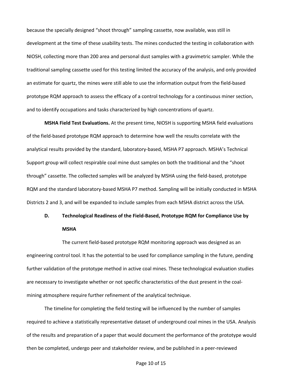because the specially designed "shoot through" sampling cassette, now available, was still in development at the time of these usability tests. The mines conducted the testing in collaboration with NIOSH, collecting more than 200 area and personal dust samples with a gravimetric sampler. While the traditional sampling cassette used for this testing limited the accuracy of the analysis, and only provided an estimate for quartz, the mines were still able to use the information output from the field-based prototype RQM approach to assess the efficacy of a control technology for a continuous miner section, and to identify occupations and tasks characterized by high concentrations of quartz.

**MSHA Field Test Evaluations.** At the present time, NIOSH is supporting MSHA field evaluations of the field-based prototype RQM approach to determine how well the results correlate with the analytical results provided by the standard, laboratory-based, MSHA P7 approach. MSHA's Technical Support group will collect respirable coal mine dust samples on both the traditional and the "shoot through" cassette. The collected samples will be analyzed by MSHA using the field-based, prototype RQM and the standard laboratory-based MSHA P7 method. Sampling will be initially conducted in MSHA Districts 2 and 3, and will be expanded to include samples from each MSHA district across the USA.

# **D. Technological Readiness of the Field-Based, Prototype RQM for Compliance Use by MSHA**

The current field-based prototype RQM monitoring approach was designed as an engineering control tool. It has the potential to be used for compliance sampling in the future, pending further validation of the prototype method in active coal mines. These technological evaluation studies are necessary to investigate whether or not specific characteristics of the dust present in the coalmining atmosphere require further refinement of the analytical technique.

The timeline for completing the field testing will be influenced by the number of samples required to achieve a statistically representative dataset of underground coal mines in the USA. Analysis of the results and preparation of a paper that would document the performance of the prototype would then be completed, undergo peer and stakeholder review, and be published in a peer-reviewed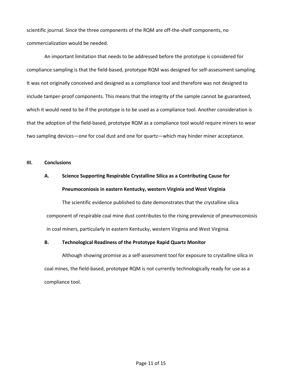scientific journal. Since the three components of the RQM are off-the-shelf components, no commercialization would be needed.

An important limitation that needs to be addressed before the prototype is considered for compliance sampling is that the field-based, prototype RQM was designed for self-assessment sampling. It was not originally conceived and designed as a compliance tool and therefore was not designed to include tamper-proof components. This means that the integrity of the sample cannot be guaranteed, which it would need to be if the prototype is to be used as a compliance tool. Another consideration is that the adoption of the field-based, prototype RQM as a compliance tool would require miners to wear two sampling devices—one for coal dust and one for quartz—which may hinder miner acceptance.

## **III. Conclusions**

# **A. Science Supporting Respirable Crystalline Silica as a Contributing Cause for Pneumoconiosis in eastern Kentucky, western Virginia and West Virginia**

The scientific evidence published to date demonstrates that the crystalline silica component of respirable coal mine dust contributes to the rising prevalence of pneumoconiosis in coal miners, particularly in eastern Kentucky, western Virginia and West Virginia.

### **B. Technological Readiness of the Prototype Rapid Quartz Monitor**

Although showing promise as a self-assessment tool for exposure to crystalline silica in coal mines, the field-based, prototype RQM is not currently technologically ready for use as a compliance tool.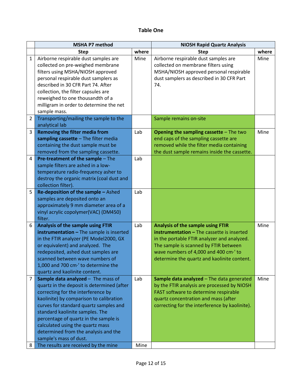# **Table One**

|                | <b>MSHA P7 method</b>                                                                                                                                                                                                                                                                                                                                                                         |       | <b>NIOSH Rapid Quartz Analysis</b>                                                                                                                                                                                                                                     |       |
|----------------|-----------------------------------------------------------------------------------------------------------------------------------------------------------------------------------------------------------------------------------------------------------------------------------------------------------------------------------------------------------------------------------------------|-------|------------------------------------------------------------------------------------------------------------------------------------------------------------------------------------------------------------------------------------------------------------------------|-------|
|                | <b>Step</b>                                                                                                                                                                                                                                                                                                                                                                                   | where | <b>Step</b>                                                                                                                                                                                                                                                            | where |
| $\mathbf{1}$   | Airborne respirable dust samples are<br>collected on pre-weighed membrane<br>filters using MSHA/NIOSH approved<br>personal respirable dust samplers as<br>described in 30 CFR Part 74. After                                                                                                                                                                                                  | Mine  | Airborne respirable dust samples are<br>collected on membrane filters using<br>MSHA/NIOSH approved personal respirable<br>dust samplers as described in 30 CFR Part<br>74.                                                                                             | Mine  |
|                | collection, the filter capsules are<br>reweighed to one thousandth of a<br>milligram in order to determine the net<br>sample mass.                                                                                                                                                                                                                                                            |       |                                                                                                                                                                                                                                                                        |       |
| $\overline{2}$ | Transporting/mailing the sample to the<br>analytical lab                                                                                                                                                                                                                                                                                                                                      |       | Sample remains on-site                                                                                                                                                                                                                                                 |       |
| 3              | <b>Removing the filter media from</b><br>sampling cassette - The filter media<br>containing the dust sample must be<br>removed from the sampling cassette.                                                                                                                                                                                                                                    | Lab   | <b>Opening the sampling cassette - The two</b><br>end caps of the sampling cassette are<br>removed while the filter media containing<br>the dust sample remains inside the cassette.                                                                                   | Mine  |
| $\overline{4}$ | Pre-treatment of the sample - The<br>sample filters are ashed in a low-<br>temperature radio-frequency asher to<br>destroy the organic matrix (coal dust and<br>collection filter).                                                                                                                                                                                                           | Lab   |                                                                                                                                                                                                                                                                        |       |
| 5              | Re-deposition of the sample - Ashed<br>samples are deposited onto an<br>approximately 9 mm diameter area of a<br>vinyl acrylic copolymer(VAC) (DM450)<br>filter.                                                                                                                                                                                                                              | Lab   |                                                                                                                                                                                                                                                                        |       |
| 6              | Analysis of the sample using FTIR<br>instrumentation - The sample is inserted<br>in the FTIR analyzer (PE Model2000, GX<br>or equivalent) and analyzed. The<br>redeposited, ashed dust samples are<br>scanned between wave numbers of<br>1,000 and 700 cm <sup>-'</sup> to determine the<br>quartz and kaolinite content.                                                                     | Lab   | <b>Analysis of the sample using FTIR</b><br>instrumentation - The cassette is inserted<br>in the portable FTIR analyzer and analyzed.<br>The sample is scanned by FTIR between<br>wave numbers of 4,000 and 400 cm·' to<br>determine the quartz and kaolinite content. | Mine  |
| 7              | Sample data analyzed - The mass of<br>quartz in the deposit is determined (after<br>correcting for the interference by<br>kaolinite) by comparison to calibration<br>curves for standard quartz samples and<br>standard kaolinite samples. The<br>percentage of quartz in the sample is<br>calculated using the quartz mass<br>determined from the analysis and the<br>sample's mass of dust. | Lab   | Sample data analyzed - The data generated<br>by the FTIR analysis are processed by NIOSH<br>FAST software to determine respirable<br>quartz concentration and mass (after<br>correcting for the interference by kaolinite).                                            | Mine  |
| 8              | The results are received by the mine                                                                                                                                                                                                                                                                                                                                                          | Mine  |                                                                                                                                                                                                                                                                        |       |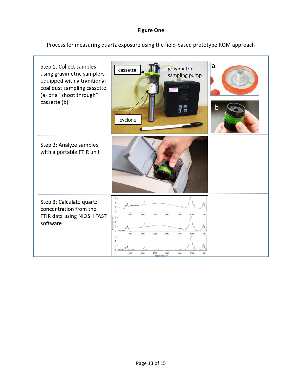# **Figure One**

Process for measuring quartz exposure using the field-based prototype RQM approach

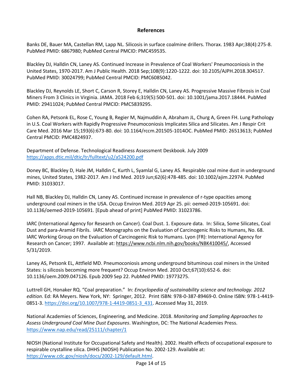## **References**

Banks DE, Bauer MA, Castellan RM, Lapp NL. Silicosis in surface coalmine drillers. Thorax. 1983 Apr;38(4):275-8. PubMed PMID: 6867980; PubMed Central PMCID: PMC459535.

Blackley DJ, Halldin CN, Laney AS. Continued Increase in Prevalence of Coal Workers' Pneumoconiosis in the United States, 1970-2017. Am J Public Health. 2018 Sep;108(9):1220-1222. doi: 10.2105/AJPH.2018.304517. PubMed PMID: 30024799; PubMed Central PMCID: PMC6085042.

Blackley DJ, Reynolds LE, Short C, Carson R, Storey E, Halldin CN, Laney AS. Progressive Massive Fibrosis in Coal Miners From 3 Clinics in Virginia. JAMA. 2018 Feb 6;319(5):500-501. doi: 10.1001/jama.2017.18444. PubMed PMID: 29411024; PubMed Central PMCID: PMC5839295.

Cohen RA, Petsonk EL, Rose C, Young B, Regier M, Najmuddin A, Abraham JL, Churg A, Green FH. Lung Pathology in U.S. Coal Workers with Rapidly Progressive Pneumoconiosis Implicates Silica and Silicates. Am J Respir Crit Care Med. 2016 Mar 15;193(6):673-80. doi: 10.1164/rccm.201505-1014OC. PubMed PMID: 26513613; PubMed Central PMCID: PMC4824937.

Department of Defense. Technological Readiness Assessment Deskbook. July 2009 <https://apps.dtic.mil/dtic/tr/fulltext/u2/a524200.pdf>

Doney BC, Blackley D, Hale JM, Halldin C, Kurth L, Syamlal G, Laney AS. Respirable coal mine dust in underground mines, United States, 1982-2017. Am J Ind Med. 2019 Jun;62(6):478-485. doi: 10.1002/ajim.22974. PubMed PMID: 31033017.

Hall NB, Blackley DJ, Halldin CN, Laney AS. Continued increase in prevalence of r-type opacities among underground coal miners in the USA. Occup Environ Med. 2019 Apr 25. pii: oemed-2019-105691. doi: 10.1136/oemed-2019-105691. [Epub ahead of print] PubMed PMID: 31023786.

IARC (International Agency for Research on Cancer). Coal Dust. 1. Exposure data. In: Silica, Some Silicates, Coal Dust and para-Aramid Fibrils. IARC Monographs on the Evaluation of Carcinogenic Risks to Humans, No. 68. IARC Working Group on the Evaluation of Carcinogenic Risk to Humans. Lyon (FR): International Agency for Research on Cancer; 1997. Available at: [https://www.ncbi.nlm.nih.gov/books/NBK410045/,](https://www.ncbi.nlm.nih.gov/books/NBK410045/) Accessed 5/31/2019.

Laney AS, Petsonk EL, Attfield MD. Pneumoconiosis among underground bituminous coal miners in the United States: is silicosis becoming more frequent? Occup Environ Med. 2010 Oct;67(10):652-6. doi: 10.1136/oem.2009.047126. Epub 2009 Sep 22. PubMed PMID: 19773275.

Luttrell GH, Honaker RQ. "Coal preparation." In: *Encyclopedia of sustainability science and technology. 2012 edition*. Ed: RA Meyers. New York, NY: Springer, 2012. Print ISBN: 978-0-387-89469-0. Online ISBN: 978-1-4419- 0851-3[. https://doi.org/10.1007/978-1-4419-0851-3\\_431.](https://doi.org/10.1007/978-1-4419-0851-3_431) Accessed May 31, 2019.

National Academies of Sciences, Engineering, and Medicine. 2018. *Monitoring and Sampling Approaches to Assess Underground Coal Mine Dust Exposures*. Washington, DC: The National Academies Press. <https://www.nap.edu/read/25111/chapter/1>

NIOSH (National Institute for Occupational Safety and Health). 2002. Health effects of occupational exposure to respirable crystalline silica. DHHS (NIOSH) Publication No. 2002-129. Available at: [https://www.cdc.gov/niosh/docs/2002-129/default.html.](https://www.cdc.gov/niosh/docs/2002-129/default.html)